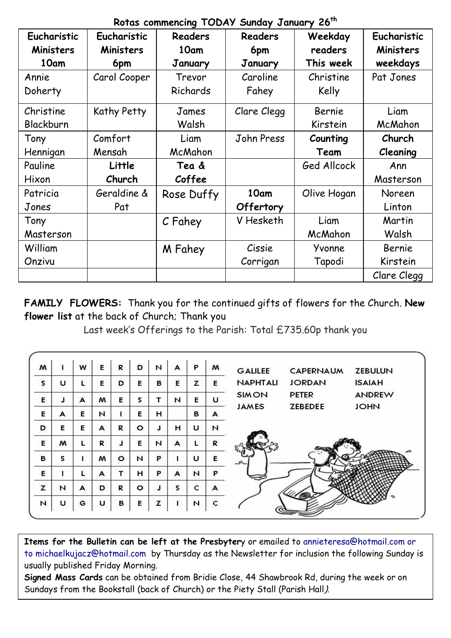| Rotas commencing TODA? Sunday cundary Lo |              |            |             |             |             |  |  |  |  |  |
|------------------------------------------|--------------|------------|-------------|-------------|-------------|--|--|--|--|--|
| Eucharistic<br>Eucharistic               |              | Readers    | Readers     | Weekday     | Eucharistic |  |  |  |  |  |
| <b>Ministers</b><br>Ministers            |              | 10am       | 6pm         | readers     | Ministers   |  |  |  |  |  |
| 10am                                     | 6pm          | January    | January     | This week   | weekdays    |  |  |  |  |  |
| Annie                                    | Carol Cooper | Trevor     | Caroline    | Christine   | Pat Jones   |  |  |  |  |  |
| Doherty                                  |              | Richards   | Fahey       | Kelly       |             |  |  |  |  |  |
| Christine                                | Kathy Petty  | James      | Clare Clegg | Bernie      | Liam        |  |  |  |  |  |
| Blackburn                                |              | Walsh      |             | Kirstein    | McMahon     |  |  |  |  |  |
| Tony                                     | Comfort      | Liam       | John Press  | Counting    | Church      |  |  |  |  |  |
| Hennigan                                 | Mensah       | McMahon    |             | Team        | Cleaning    |  |  |  |  |  |
| Pauline                                  | Little       | Tea &      |             | Ged Allcock | Ann         |  |  |  |  |  |
| Hixon                                    | Church       | Coffee     |             |             | Masterson   |  |  |  |  |  |
| Patricia                                 | Geraldine &  | Rose Duffy | 10am        | Olive Hogan | Noreen      |  |  |  |  |  |
| Jones                                    | Pat          |            | Offertory   |             | Linton      |  |  |  |  |  |
| Tony                                     |              | C Fahey    | V Hesketh   | Liam        | Martin      |  |  |  |  |  |
| Masterson                                |              |            |             | McMahon     | Walsh       |  |  |  |  |  |
| William                                  |              | M Fahey    | Cissie      | Yvonne      | Bernie      |  |  |  |  |  |
| Onzivu                                   |              |            | Corrigan    | Tapodi      | Kirstein    |  |  |  |  |  |
|                                          |              |            |             |             | Clare Clegg |  |  |  |  |  |

**Rotas commencing TODAY Sunday January 26th**

**FAMILY FLOWERS:** Thank you for the continued gifts of flowers for the Church. **New flower list** at the back of Church; Thank you

Last week's Offerings to the Parish: Total £735.60p thank you

| M            | 1 | w | E | R       | D       | N | A | P | w | <b>GALILEE</b>  | CAPERNAUM      | <b>ZEBULUN</b> |
|--------------|---|---|---|---------|---------|---|---|---|---|-----------------|----------------|----------------|
| $\mathsf{s}$ | U |   | E | D       | Е       | в | E | z | Е | <b>NAPHTALI</b> | <b>JORDAN</b>  | <b>ISAIAH</b>  |
| E            | J | А | м | Е       | s       | т | N | Е | u | <b>SIMON</b>    | <b>PETER</b>   | <b>ANDREW</b>  |
| Е            | А | E | N |         | Е       | н |   | в | А | <b>JAMES</b>    | <b>ZEBEDEE</b> | <b>JOHN</b>    |
| D            | Е | Е | A | R       | $\circ$ | J | н | U | N |                 |                |                |
| E            | w | L | R | J       | E       | N | A |   | R |                 |                |                |
| B            | s |   | м | $\circ$ | N       | P |   | U | Е |                 |                |                |
| Е            |   | L | A |         | н       | P | А | N | P |                 |                |                |
| z            | N | А | D | R       | $\circ$ | J | s | c | А |                 |                |                |
| N            | U | G | u | в       | Е       | z |   | N | c |                 |                |                |

**Items for the Bulletin can be left at the Presbyter**y or emailed to [annieteresa@hotmail.com or](mailto:annieteresa@hotmail.com%20or%20to%20michaelkujacz@hotmail.com%20%20b)  [to michaelkujacz@hotmail.com by](mailto:annieteresa@hotmail.com%20or%20to%20michaelkujacz@hotmail.com%20%20b) Thursday as the Newsletter for inclusion the following Sunday is usually published Friday Morning.

**Signed Mass Cards** can be obtained from Bridie Close, 44 Shawbrook Rd, during the week or on Sundays from the Bookstall (back of Church) or the Piety Stall (Parish Hall).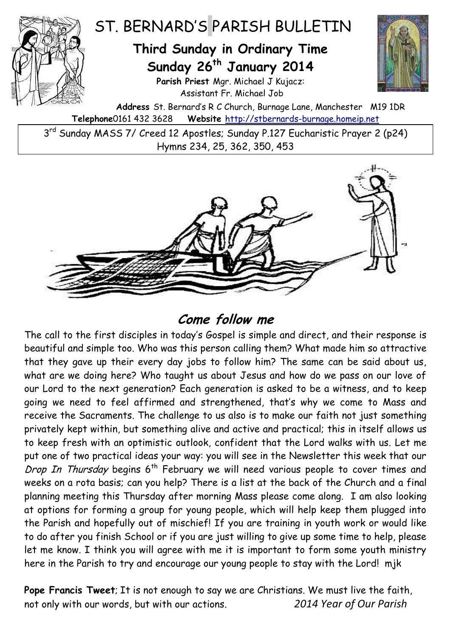

3<sup>rd</sup> Sunday MASS 7/ Creed 12 Apostles; Sunday P.127 Eucharistic Prayer 2 (p24) Hymns 234, 25, 362, 350, 453



## **Come follow me**

The call to the first disciples in today's Gospel is simple and direct, and their response is beautiful and simple too. Who was this person calling them? What made him so attractive that they gave up their every day jobs to follow him? The same can be said about us, what are we doing here? Who taught us about Jesus and how do we pass on our love of our Lord to the next generation? Each generation is asked to be a witness, and to keep going we need to feel affirmed and strengthened, that's why we come to Mass and receive the Sacraments. The challenge to us also is to make our faith not just something privately kept within, but something alive and active and practical; this in itself allows us to keep fresh with an optimistic outlook, confident that the Lord walks with us. Let me put one of two practical ideas your way: you will see in the Newsletter this week that our Drop In Thursday begins  $6<sup>th</sup>$  February we will need various people to cover times and weeks on a rota basis; can you help? There is a list at the back of the Church and a final planning meeting this Thursday after morning Mass please come along. I am also looking at options for forming a group for young people, which will help keep them plugged into the Parish and hopefully out of mischief! If you are training in youth work or would like to do after you finish School or if you are just willing to give up some time to help, please let me know. I think you will agree with me it is important to form some youth ministry here in the Parish to try and encourage our young people to stay with the Lord! mjk

**Pope Francis Tweet**; It is not enough to say we are Christians. We must live the faith, not only with our words, but with our actions. *2014 Year of Our Parish*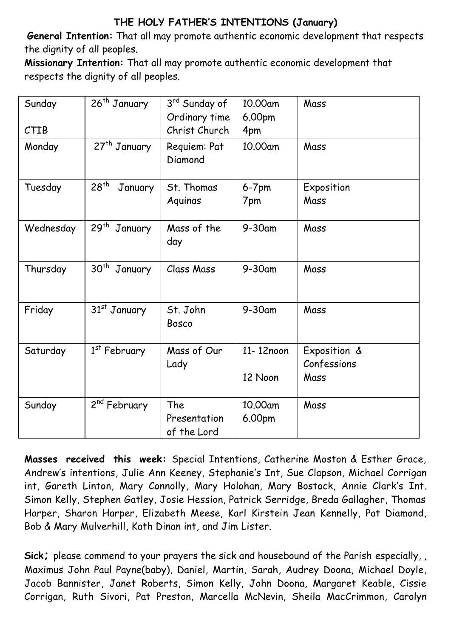## **THE HOLY FATHER'S INTENTIONS (January)**

**General Intention:** That all may promote authentic economic development that respects the dignity of all peoples.

**Missionary Intention:** That all may promote authentic economic development that respects the dignity of all peoples.

| Sunday    | 26 <sup>th</sup> January    | 3rd Sunday of           | 10.00am   | Mass         |
|-----------|-----------------------------|-------------------------|-----------|--------------|
|           |                             | Ordinary time           | 6.00pm    |              |
| CTIB      |                             | Christ Church           | 4pm       |              |
| Monday    | 27 <sup>th</sup> January    | Requiem: Pat<br>Diamond | 10.00am   | Mass         |
| Tuesday   | 28 <sup>th</sup><br>January | St. Thomas              | $6-7$ pm  | Exposition   |
|           |                             | Aquinas                 | 7pm       | Mass         |
| Wednesday | 29 <sup>th</sup><br>January | Mass of the<br>day      | $9-30$ am | Mass         |
| Thursday  | 30 <sup>th</sup><br>January | Class Mass              | $9-30$ am | Mass         |
| Friday    | 31 <sup>st</sup> January    | St. John<br>Bosco       | $9-30$ am | Mass         |
| Saturday  | 1 <sup>st</sup> February    | Mass of Our             | 11-12noon | Exposition & |
|           |                             | Lady                    |           | Confessions  |
|           |                             |                         | 12 Noon   | Mass         |
| Sunday    | 2 <sup>nd</sup> February    | The                     | 10.00am   | Mass         |
|           |                             | Presentation            | 6.00pm    |              |
|           |                             | of the Lord             |           |              |

**Masses received this week:** Special Intentions, Catherine Moston & Esther Grace, Andrew's intentions, Julie Ann Keeney, Stephanie's Int, Sue Clapson, Michael Corrigan int, Gareth Linton, Mary Connolly, Mary Holohan, Mary Bostock, Annie Clark's Int. Simon Kelly, Stephen Gatley, Josie Hession, Patrick Serridge, Breda Gallagher, Thomas Harper, Sharon Harper, Elizabeth Meese, Karl Kirstein Jean Kennelly, Pat Diamond, Bob & Mary Mulverhill, Kath Dinan int, and Jim Lister.

**Sick;** please commend to your prayers the sick and housebound of the Parish especially, , Maximus John Paul Payne(baby), Daniel, Martin, Sarah, Audrey Doona, Michael Doyle, Jacob Bannister, Janet Roberts, Simon Kelly, John Doona, Margaret Keable, Cissie Corrigan, Ruth Sivori, Pat Preston, Marcella McNevin, Sheila MacCrimmon, Carolyn